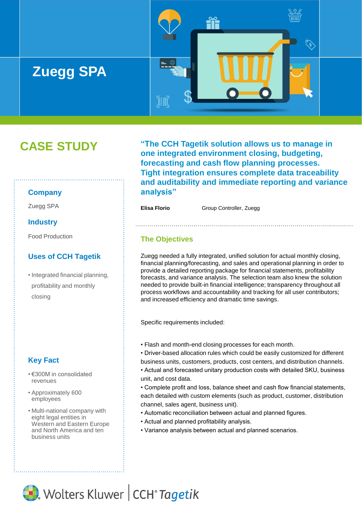

# **CASE STUDY**

#### **Company**

#### **Industry**

Food Production

### **Uses of CCH Tagetik**

• Integrated financial planning, profitability and monthly closing

# **Key Fact**

- €300M in consolidated revenues
- Approximately 600 employees
- Multi-national company with eight legal entities in Western and Eastern Europe and North America and ten business units

**"The CCH Tagetik solution allows us to manage in one integrated environment closing, budgeting, forecasting and cash flow planning processes. Tight integration ensures complete data traceability and auditability and immediate reporting and variance analysis"**

Zuegg SPA<br> **Elisa Florio** Group Controller, Zuegg

# **The Objectives**

Zuegg needed a fully integrated, unified solution for actual monthly closing, financial planning/forecasting, and sales and operational planning in order to provide a detailed reporting package for financial statements, profitability forecasts, and variance analysis. The selection team also knew the solution needed to provide built-in financial intelligence; transparency throughout all process workflows and accountability and tracking for all user contributors; and increased efficiency and dramatic time savings.

Specific requirements included:

• Flash and month-end closing processes for each month.

• Driver-based allocation rules which could be easily customized for different business units, customers, products, cost centers, and distribution channels. • Actual and forecasted unitary production costs with detailed SKU, business unit, and cost data.

• Complete profit and loss, balance sheet and cash flow financial statements, each detailed with custom elements (such as product, customer, distribution channel, sales agent, business unit).

- Automatic reconciliation between actual and planned figures.
- Actual and planned profitability analysis.
- Variance analysis between actual and planned scenarios.

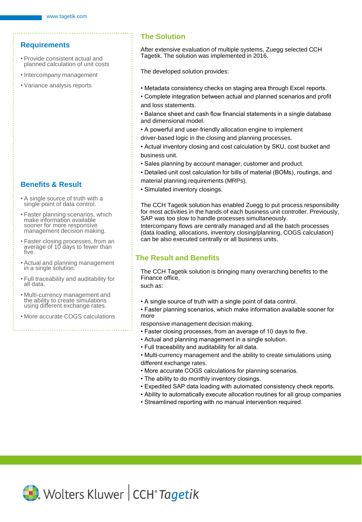# **Requirements**

- Provide consistent actual and planned calculation of unit costs
- Intercompany management
- Variance analysis reports

### **Benefits & Result**

- A single source of truth with a single point of data control.
- Faster planning scenarios, which make information available sooner for more responsive management decision making.
- Faster closing processes, from an average of 10 days to fewer than five.
- Actual and planning management in a single solution.
- Full traceability and auditability for all data.
- Multi-currency management and the ability to create simulations using different exchange rates.
- More accurate COGS calculations

### **The Solution**

After extensive evaluation of multiple systems, Zuegg selected CCH Tagetik. The solution was implemented in 2016.

The developed solution provides:

- Metadata consistency checks on staging area through Excel reports.
- Complete integration between actual and planned scenarios and profit and loss statements.
- Balance sheet and cash flow financial statements in a single database and dimensional model.
- A powerful and user-friendly allocation engine to implement
- driver-based logic in the closing and planning processes.
- Actual inventory closing and cost calculation by SKU, cost bucket and business unit.
- Sales planning by account manager, customer and product.
- Detailed unit cost calculation for bills of material (BOMs), routings, and material planning requirements (MRPs).
- Simulated inventory closings.

The CCH Tagetik solution has enabled Zuegg to put process responsibility for most activities in the hands of each business unit controller. Previously, SAP was too slow to handle processes simultaneously.

Intercompany flows are centrally managed and all the batch processes (data loading, allocations, inventory closing/planning, COGS calculation) can be also executed centrally or all business units.

# **The Result and Benefits**

The CCH Tagetik solution is bringing many overarching benefits to the Finance office,

such as:

- A single source of truth with a single point of data control.
- Faster planning scenarios, which make information available sooner for more
- responsive management decision making.
- Faster closing processes, from an average of 10 days to five.
- Actual and planning management in a single solution.
- Full traceability and auditability for all data.
- Multi-currency management and the ability to create simulations using different exchange rates.
- More accurate COGS calculations for planning scenarios.
- The ability to do monthly inventory closings.
- Expedited SAP data loading with automated consistency check reports.
- Ability to automatically execute allocation routines for all group companies
- Streamlined reporting with no manual intervention required.